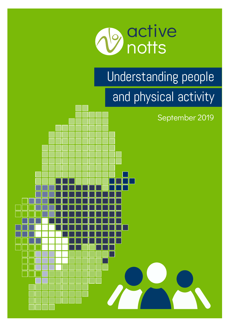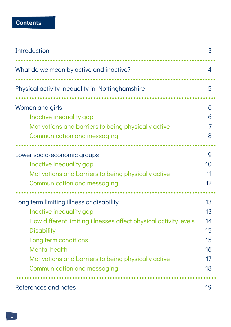### **Contents**

| Introduction                                                                                                                                                                                                                                                                                       | 3                                            |
|----------------------------------------------------------------------------------------------------------------------------------------------------------------------------------------------------------------------------------------------------------------------------------------------------|----------------------------------------------|
| What do we mean by active and inactive?                                                                                                                                                                                                                                                            | 4                                            |
| Physical activity inequality in Nottinghamshire                                                                                                                                                                                                                                                    | 5                                            |
| Women and girls<br>Inactive inequality gap<br>Motivations and barriers to being physically active<br>Communication and messaging                                                                                                                                                                   | 6<br>6<br>7<br>8                             |
| Lower socio-economic groups<br>Inactive inequality gap<br>Motivations and barriers to being physically active<br>Communication and messaging                                                                                                                                                       | 9<br>10<br>11<br>12                          |
| Long term limiting illness or disability<br>Inactive inequality gap<br>How different limiting illnesses affect physical activity levels<br><b>Disability</b><br>Long term conditions<br><b>Mental health</b><br>Motivations and barriers to being physically active<br>Communication and messaging | 13<br>13<br>14<br>15<br>15<br>16<br>17<br>18 |
| References and notes                                                                                                                                                                                                                                                                               | 19                                           |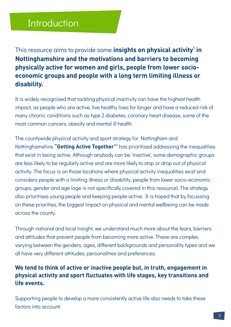### **Introduction**

**1** This resource aims to provide some **insights on physical activity in Nottinghamshire and the motivations and barriers to becoming physically active for women and girls, people from lower socioeconomic groups and people with a long term limiting illness or disability.**

It is widely recognised that tackling physical inactivity can have the highest health impact, as people who are active, live healthy lives for longer and have a reduced risk of many chronic conditions such as type 2 diabetes, coronary heart disease, some of the most common cancers, obesity and mental ill health.

The countywide physical activity and sport strategy for Nottingham and Nottinghamshire **"Getting Active Together"**<sup>2</sup> has prioritised addressing the inequalities that exist in being active. Although anybody can be 'inactive', some demographic groups are less likely to be regularly active and are more likely to stop or drop out of physical activity. The focus is on those locations where physical activity inequalities exist and considers people with a limiting illness or disability, people from lower socio-economic groups, gender and age (age is not specifically covered in this resource). The strategy also prioritises young people and keeping people active. It is hoped that by focussing on these priorities, the biggest impact on physical and mental wellbeing can be made across the county.

Through national and local insight, we understand much more about the fears, barriers and attitudes that prevent people from becoming more active. These are complex, varying between the genders, ages, different backgrounds and personality types and we all have very different attitudes, personalities and preferences.

#### **We tend to think of active or inactive people but, in truth, engagement in physical activity and sport fluctuates with life stages, key transitions and life events.**

Supporting people to develop a more consistently active life also needs to take these factors into account.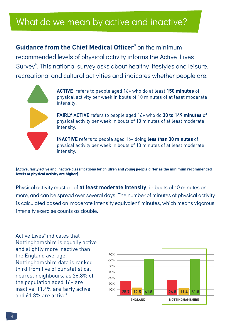# What do we mean by active and inactive?

**Guidance from the Chief Medical Officer**<sup>3</sup> on the minimum recommended levels of physical activity informs the Active Lives Survey<sup>4</sup>. This national survey asks about healthy lifestyles and leisure, recreational and cultural activities and indicates whether people are:



**ACTIVE** refers to people aged 16+ who do at least **150 minutes** of physical activity per week in bouts of 10 minutes of at least moderate intensity.

**FAIRLY ACTIVE** refers to people aged 16+ who do **30 to 149 minutes** of physical activity per week in bouts of 10 minutes of at least moderate intensity.

**INACTIVE** refers to people aged 16+ doing **less than 30 minutes** of physical activity per week in bouts of 10 minutes of at least moderate intensity.

**(Active, fairly active and inactive classifications for children and young people differ as the minimum recommended levels of physical activity are higher)**

Physical activity must be of **at least moderate intensity**, in bouts of 10 minutes or more, and can be spread over several days. The number of minutes of physical activity is calculated based on 'moderate intensity equivalent' minutes, which means vigorous intensity exercise counts as double.

Active Lives<sup>4</sup> indicates that Nottinghamshire is equally active and slightly more inactive than the England average. Nottinghamshire data is ranked third from five of our statistical nearest neighbours, as 26.8% of the population aged 16+ are inactive, 11.4% are fairly active and 61.8% are active<sup>5</sup>.

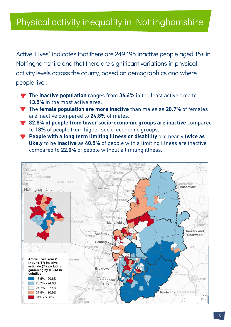### Physical activity inequality in Nottinghamshire

Active Lives<sup>4</sup> indicates that there are 249,195 inactive people aged 16+ in Nottinghamshire and that there are significant variations in physical activity levels across the county, based on demographics and where people live<sup>5</sup>:

- ▼ The **inactive population** ranges from 36.6% in the least active area to **13.5%** in the most active area.
- **The female population are more inactive** than males as 28.7% of females are inactive compared to **24.8%** of males.
- ▼ 32.8% of people from lower socio-economic groups are inactive compared to **18%** of people from higher socio-economic groups.
- **Y** People with a long term limiting illness or disability are nearly twice as **likely** to be **inactive** as **40.5%** of people with a limiting illness are inactive compared to **22.0%** of people without a limiting illness.

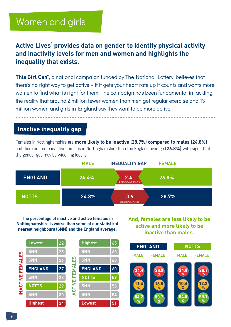### Women and girls

### Active Lives $^4$  provides data on gender to identify physical activity **and inactivity levels for men and women and highlights the inequality that exists.**

**This Girl Can<sup>6</sup>**, a national campaign funded by The National Lottery, believes that there's no right way to get active – if it gets your heart rate up it counts and wants more women to find what is right for them. The campaign has been fundamental in tackling the reality that around 2 million fewer women than men get regular exercise and 13 million women and girls in England say they want to be more active. ...........................................................................

### **Inactive inequality gap**

Females in Nottinghamshire are **more likely to be inactive (28.7%) compared to males (24.8%)**  and there are more inactive females in Nottinghamshire than the England average **(26.8%)** with signs that the gender gap may be widening locally.



**The percentage of inactive and active females in Nottinghamshire is worse than some of our statistical nearest neighbours (SNN) and the England average.**

**And, females are less likely to be active and more likely to be inactive than males.**



24.4 11.4 64.2 **% % %** 26.8 59.7 **% %** 24.8 64.8 **% %** 28.7 59.1 **% % MALE FEMALE ENGLAND NOTTS MALE FEMALE** 13.5 **%** 10.4 **%** 12.2 **%**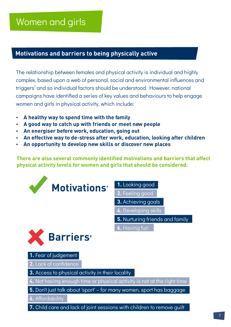# Women and girls

#### **Motivations and barriers to being physically active**

The relationship between females and physical activity is individual and highly complex, based upon a web of personal, social and environmental influences and triggers<sup>7</sup> and so individual factors should be understood. However, national campaigns have identified a series of key values and behaviours to help engage women and girls in physical activity, which include:

- **A healthy way to spend time with the family**
- $\cdot$  A good way to catch up with friends or meet new people
- **An energiser before work, education, going out**
- **An effective way to de-stress after work, education, looking after children <b>by**
- $\cdot$  An opportunity to develop new skills or discover new places

**There are also several commonly identified motivations and barriers that affect physical activity levels for women and girls that should be considered:**



- **1.** Looking good
- **2.** Feeling good
- **3.** Achieving goals
- **4.** Developing skills
- **5.** Nurturing friends and family
- **6.** Having fun



**1.** Fear of judgement

**2.** Lack of confidence

**3.** Access to physical activity in their locality

**4.** Not having enough time or physical activity is not at the right time

**5.** Don't just talk about 'sport' – for many women, sport has baggage

**6.** Affordability

**7.** Child care and lack of joint sessions with children to remove guilt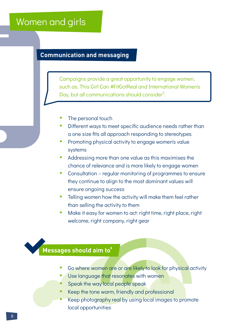### Women and girls

### **Communication and messaging**

Campaigns provide a great opportunity to engage women, such as, This Girl Can #FitGotReal and International Women's Day, but all communications should consider<sup>8</sup>:

- The personal touch
- Different ways to meet specific audience needs rather than a one size fits all approach responding to stereotypes
- Promoting physical activity to engage women's value systems
- Addressing more than one value as this maximises the chance of relevance and is more likely to engage women
- Consultation regular monitoring of programmes to ensure they continue to align to the most dominant values will ensure ongoing success
- Telling women how the activity will make them feel rather than selling the activity to them
- Make it easy for women to act: right time, right place, right welcome, right company, right gear

### **<sup>8</sup> Messages should aim to**

- Go where women are or are likely to look for physical activity
- Use language that resonates with women
- Speak the way local people speak
- Keep the tone warm, friendly and professional
- Keep photography real by using local images to promote local opportunities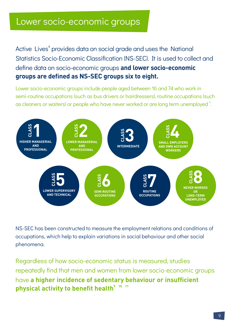### Lower socio-economic groups

Active Lives<sup>4</sup> provides data on social grade and uses the National Statistics Socio-Economic Classification (NS-SEC). It is used to collect and define data on socio-economic groups **and lower socio-economic groups are defined as NS-SEC groups six to eight.** 

Lower socio-economic groups include people aged between 16 and 74 who work in semi-routine occupations (such as bus drivers or hairdressers), routine occupations (such as cleaners or waiters) or people who have never worked or are long term unemployed  $\degree$ .



NS-SEC has been constructed to measure the employment relations and conditions of occupations, which help to explain variations in social behaviour and other social phenomena.

Regardless of how socio-economic status is measured, studies repeatedly find that men and women from lower socio-economic groups have **a higher incidence of sedentary behaviour or insufficient**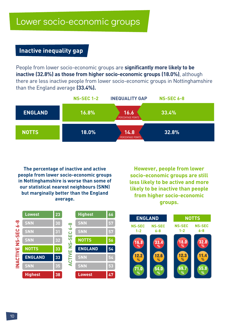#### **Inactive inequality gap**

People from lower socio-economic groups are **significantly more likely to be inactive (32.8%) as those from higher socio-economic groups (18.0%)**, although there are less inactive people from lower socio-economic groups in Nottinghamshire than the England average **(33.4%).**

|                | <b>NS-SEC 1-2</b> | <b>INEQUALITY GAP</b>     | <b>NS-SEC 6-8</b> |
|----------------|-------------------|---------------------------|-------------------|
| <b>ENGLAND</b> | 16.8%             | 16.6<br>PERCENTAGE POINTS | 33.4%             |
| <b>NOTTS</b>   | 18.0%             | 14.8<br>PERCENTAGE POINTS | 32.8%             |

**The percentage of inactive and active people from lower socio-economic groups in Nottinghamshire is worse than some of our statistical nearest neighbours (SNN) but marginally better than the England average.**

**However, people from lower socio-economic groups are still less likely to be active and more likely to be inactive than people from higher socio-economic groups.**



|   | <b>Highest</b> | 66 |
|---|----------------|----|
|   | <b>SNN</b>     | 57 |
| Η | <b>SNN</b>     | 57 |
|   | <b>NOTTS</b>   | 56 |
|   | <b>ENGLAND</b> | 54 |
|   |                |    |
|   | <b>SNN</b>     | 54 |
|   | <b>SNN</b>     | 53 |

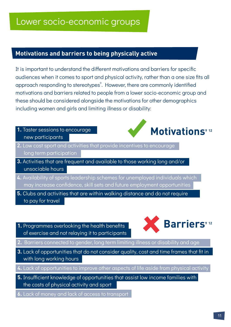#### **Motivations and barriers to being physically active**

It is important to understand the different motivations and barriers for specific audiences when it comes to sport and physical activity, rather than a one size fits all approach responding to stereotypes<sup>9</sup>. However, there are commonly identified motivations and barriers related to people from a lower socio-economic group and these should be considered alongside the motivations for other demographics including women and girls and limiting illness or disability:

**1.** Taster sessions to encourage new participants



- **2.** Low cost sport and activities that provide incentives to encourage long term participation
- **3.** Activities that are frequent and available to those working long and/or unsociable hours
- **4.** Availability of sports leadership schemes for unemployed individuals which may increase confidence, skill sets and future employment opportunities
- **5.** Clubs and activities that are within walking distance and do not require to pay for travel
- **1.** Programmes overlooking the health benefits of exercise and not relaying it to participants



- **2.** Barriers connected to gender, long term limiting illness or disability and age
- **3.** Lack of opportunities that do not consider quality, cost and time frames that fit in with long working hours
- **4.** Lack of opportunities to improve other aspects of life aside from physical activity
- **5.** Insufficient knowledge of opportunities that assist low income families with the costs of physical activity and sport
- **6.** Lack of money and lack of access to transport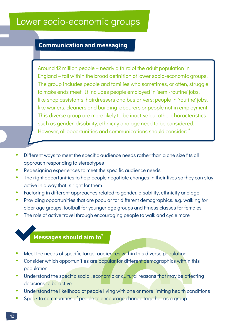### Lower socio-economic groups

#### **Communication and messaging**

Around 12 million people – nearly a third of the adult population in England – fall within the broad definition of lower socio-economic groups. The group includes people and families who sometimes, or often, struggle to make ends meet. It includes people employed in 'semi-routine' jobs, like shop assistants, hairdressers and bus drivers; people in 'routine' jobs, like waiters, cleaners and building labourers or people not in employment. This diverse group are more likely to be inactive but other characteristics such as gender, disability, ethnicity and age need to be considered. However, all opportunities and communications should consider: 9

- Different ways to meet the specific audience needs rather than a one size fits all approach responding to stereotypes
- Redesigning experiences to meet the specific audience needs
- The right opportunities to help people negotiate changes in their lives so they can stay active in a way that is right for them
- Factoring in different approaches related to gender, disability, ethnicity and age
- Providing opportunities that are popular for different demographics. e.g. walking for older age groups, football for younger age groups and fitness classes for females
- The role of active travel through encouraging people to walk and cycle more

#### **<sup>9</sup> Messages should aim to**

- Meet the needs of specific target audiences within this diverse population
- Consider which opportunities are popular for different demographics within this population
- Understand the specific social, economic or cultural reasons that may be affecting decisions to be active
- Understand the likelihood of people living with one or more limiting health conditions
- Speak to communities of people to encourage change together as a group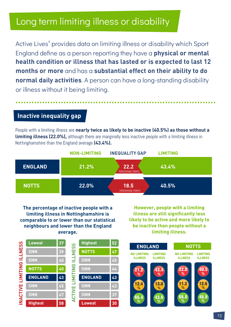Active Lives<sup>4</sup> provides data on limiting illness or disability which Sport England define as a person reporting they have a **physical or mental health condition or illness that has lasted or is expected to last 12 months or more** and has a **substantial effect on their ability to do normal daily activities**. A person can have a long-standing disability or illness without it being limiting. ...........................................................................

#### **Inactive inequality gap**

People with a limiting illness are **nearly twice as likely to be inactive (40.5%) as those without a limiting illness (22.0%),** although there are marginally less inactive people with a limiting illness in Nottinghamshire than the England average **(43.4%).**



**The percentage of inactive people with a limiting illness in Nottinghamshire is comparable to or lower than our statistical neighbours and lower than the England average.**

**However, people with a limiting illness are still significantly less likely to be active and more likely to be inactive than people without a limiting illness.**

| INACTIVE LIMITING ILLNESS | <b>Lowest</b>  | 37 | <b>ILLNESS</b><br><b>LIMITING</b> | <b>Highest</b> | 52 |
|---------------------------|----------------|----|-----------------------------------|----------------|----|
|                           | <b>SNN</b>     | 39 |                                   | <b>NOTTS</b>   | 47 |
|                           | <b>SNN</b>     | 40 |                                   | <b>SNN</b>     | 45 |
|                           | <b>NOTTS</b>   | 40 |                                   | <b>SNN</b>     | 44 |
|                           | <b>ENGLAND</b> | 43 |                                   | <b>ENGLAND</b> | 43 |
|                           | <b>SNN</b>     | 45 |                                   | <b>SNN</b>     | 43 |
|                           | <b>SNN</b>     | 47 | <b>ACTIVE</b>                     | <b>SNN</b>     | 37 |
|                           | <b>Highest</b> | 58 |                                   | <b>Lowest</b>  | 30 |

66.4 21.2 **% %** 43.6 43.4 **% %** 66.8 22.0 **% %** 46.9 40.5 **% % NO LIMITING LIMITING ILLNESS ILLNESS ENGLAND NOTTS NO LIMITING LIMITING ILLNESS** 12.4 13.0 11.2 12.6 **% % % %**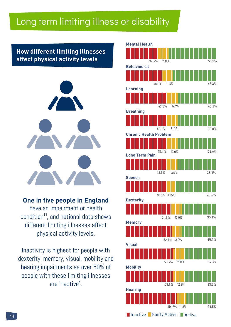#### **How different limiting illnesses affect physical activity levels**



**One in five people in England** have an impairment or health condition $^{13}$ , and national data shows different limiting illnesses affect physical activity levels.

Inactivity is highest for people with dexterity, memory, visual, mobility and hearing impairments as over 50% of people with these limiting illnesses are inactive<sup>4</sup>.

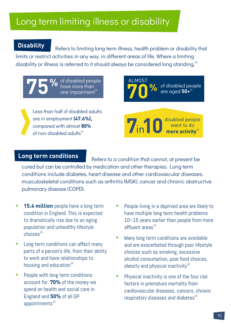#### **Disability**

Refers to limiting long term illness, health problem or disability that limits or restrict activities in any way, in different areas of life. Where a limiting disability or illness is referred to it should always be considered long standing.<sup>14</sup>

**75** % of disabled people have more than one impairment<sup>14</sup> have more than

Less than half of disabled adults are in employment **(47.6%),**  compared with almost **80%** of non-disabled adults<sup>13</sup>



disabled people want to do more activity<sup>®</sup>

#### **Long term conditions**

Refers to a condition that cannot, at present be cured but can be controlled by medication and other therapies. Long term conditions include diabetes, heart disease and other cardiovascular diseases, musculoskeletal conditions such as arthritis (MSK), cancer and chronic obstructive pulmonary disease (COPD).

- **15.4 million** people have a long term condition in England. This is expected to dramatically rise due to an aging population and unhealthy lifestyle choices $^{\scriptscriptstyle{16}}$
- Long term conditions can affect many parts of a person's life, from their ability to work and have relationships to housing and education $^{16}$
- People with long term conditions account for: **70%** of the money we spend on health and social care in England and **50%** of all GP appointments $16$
- People living in a deprived area are likely to have multiple long term health problems 10–15 years earlier than people from more affluent areas $^{16}$
- Many long term conditions are avoidable and are exacerbated through poor lifestyle choices such as smoking, excessive alcohol consumption, poor food choices, obesity and physical inactivity $^{\scriptscriptstyle 16}$
- Physical inactivity is one of the four risk factors in premature mortality from cardiovascular diseases, cancers, chronic respiratory diseases and diabetes $^{\scriptscriptstyle{16}}$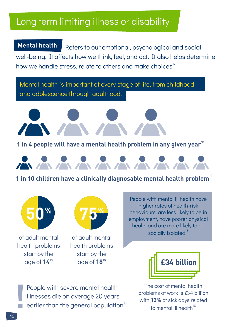Refers to our emotional, psychological and social well-being. It affects how we think, feel, and act. It also helps determine how we handle stress, relate to others and make choices<sup>17</sup>. **Mental health**

Mental health is important at every stage of life, from childhood and adolescence through adulthood.





**1** in 10 children have a clinically diagnosable mental health problem $^{\text{\textregistered}}$ 



of adult mental health problems start by the age of  $14^{\text{18}}$ 



of adult mental health problems start by the

People with mental ill health have higher rates of health-risk behaviours, are less likely to be in employment, have poorer physical health and are more likely to be socially isolated<sup>18</sup>



The cost of mental health problems at work is £34 billion with **13%** of sick days related to mental ill health<sup>18</sup>

People with severe mental health illnesses die on average 20 years earlier than the general population<sup>18</sup>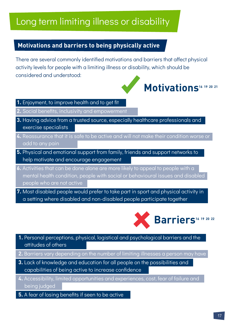#### **Motivations and barriers to being physically active**

There are several commonly identified motivations and barriers that affect physical activity levels for people with a limiting illness or disability, which should be considered and understood:

# **Motivations**<sup>16</sup> <sup>19</sup> 20 21

- **1.** Enjoyment, to improve health and to get fit
- **2.** Social benefits, inclusivity and empowerment
- **3.** Having advice from a trusted source, especially healthcare professionals and exercise specialists
- **4.** Reassurance that it is safe to be active and will not make their condition worse or add to any pain
- **5.** Physical and emotional support from family, friends and support networks to help motivate and encourage engagement
- **6.** Activities that can be done alone are more likely to appeal to people with a mental health condition, people with social or behavioural issues and disabled people who are not active
- **7.** Most disabled people would prefer to take part in sport and physical activity in a setting where disabled and non-disabled people participate together



- **1.** Personal perceptions, physical, logistical and psychological barriers and the attitudes of others
- **2.** Barriers vary depending on the number of limiting illnesses a person may have
- **3.** Lack of knowledge and education for all people on the possibilities and capabilities of being active to increase confidence
- **4.** Accessibility, limited opportunities and experiences, cost, fear of failure and being judged
- **5.** A fear of losing benefits if seen to be active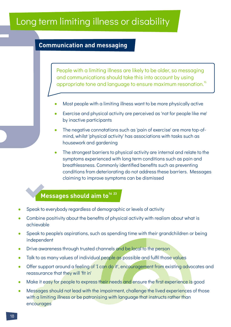#### **Communication and messaging**

appropriate tone and language to ensure maximum resonation.<sup>16</sup> People with a limiting illness are likely to be older, so messaging and communications should take this into account by using

- Most people with a limiting illness want to be more physically active
- Exercise and physical activity are perceived as 'not for people like me' by inactive participants
- The negative connotations such as 'pain of exercise' are more top-ofmind, whilst 'physical activity' has associations with tasks such as housework and gardening
- The strongest barriers to physical activity are internal and relate to the symptoms experienced with long term conditions such as pain and breathlessness. Commonly identified benefits such as preventing conditions from deteriorating do not address these barriers. Messages claiming to improve symptoms can be dismissed

#### **<sup>16</sup> <sup>23</sup> Messages should aim to**

- Speak to everybody regardless of demographic or levels of activity
- Combine positivity about the benefits of physical activity with realism about what is achievable
- Speak to people's aspirations, such as spending time with their grandchildren or being independent
- Drive awareness through trusted channels and be local to the person
- Talk to as many values of individual people as possible and fulfil those values
- Offer support around a feeling of 'I can do it', encouragement from existing advocates and reassurance that they will 'fit in'
- Make it easy for people to express their needs and ensure the first experience is good
- Messages should not lead with the impairment, challenge the lived experiences of those with a limiting illness or be patronising with language that instructs rather than encourages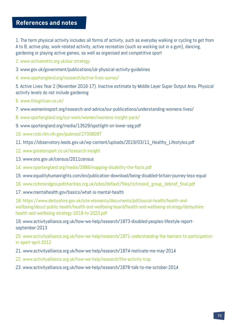### **References and notes**

1. The term physical activity includes all forms of activity, such as everyday walking or cycling to get from A to B, active play, work-related activity, active recreation (such as working out in a gym), dancing, gardening or playing active games, as well as organised and competitive sport

2. www.activenotts.org.uk/our-strategy

- 3. www.gov.uk/government/publications/uk-physical-activity-guidelines
- 4. www.sportengland.org/research/active-lives-survey/

5. Active Lives Year 2 (November 2016-17). Inactive estimate by Middle Layer Super Output Area. Physical activity levels do not include gardening

6. www.thisgirlcan.co.uk/

7. www.womeninsport.org/research-and-advice/our-publications/understanding-womens-lives/

8. www.sportengland.org/our-work/women/womens-insight-pack/

- 9. www.sportengland.org/media/13529/spotlight-on-lower-seg.pdf
- 10. www.ncbi.nlm.nih.gov/pubmed/27008097
- 11. https://observatory.leeds.gov.uk/wp-content/uploads/2019/03/11\_Healthy\_Lifestyles.pdf
- 12. www.greatersport.co.uk/research-insight
- 13. www.ons.gov.uk/census/2011census
- 14. www.sportengland.org/media/3988/mapping-disability-the-facts.pdf
- 15. www.equalityhumanrights.com/en/publication-download/being-disabled-britain-journey-less-equal
- 16. www.richmondgroupofcharities.org.uk/sites/default/files/richmond\_group\_debrief\_final.pdf
- 17. www.mentalhealth.gov/basics/what-is-mental-health

18. https://www.derbyshire.gov.uk/site-elements/documents/pdf/social-health/health-andwellbeing/about-public-health/health-and-wellbeing-board/health-and-wellbeing-strategy/derbyshirehealth-and-wellbeing-strategy-2018-to-2023.pdf

19. www.activityalliance.org.uk/how-we-help/research/1873-disabled-peoples-lifestyle-reportseptember-2013

20. www.activityalliance.org.uk/how-we-help/research/1871-understanding-the-barriers-to-participationin-sport-april-2012

- 21. www.activityalliance.org.uk/how-we-help/research/1874-motivate-me-may-2014
- 22. www.activityalliance.org.uk/how-we-help/research/the-activity-trap
- 23. www.activityalliance.org.uk/how-we-help/research/1878-talk-to-me-october-2014